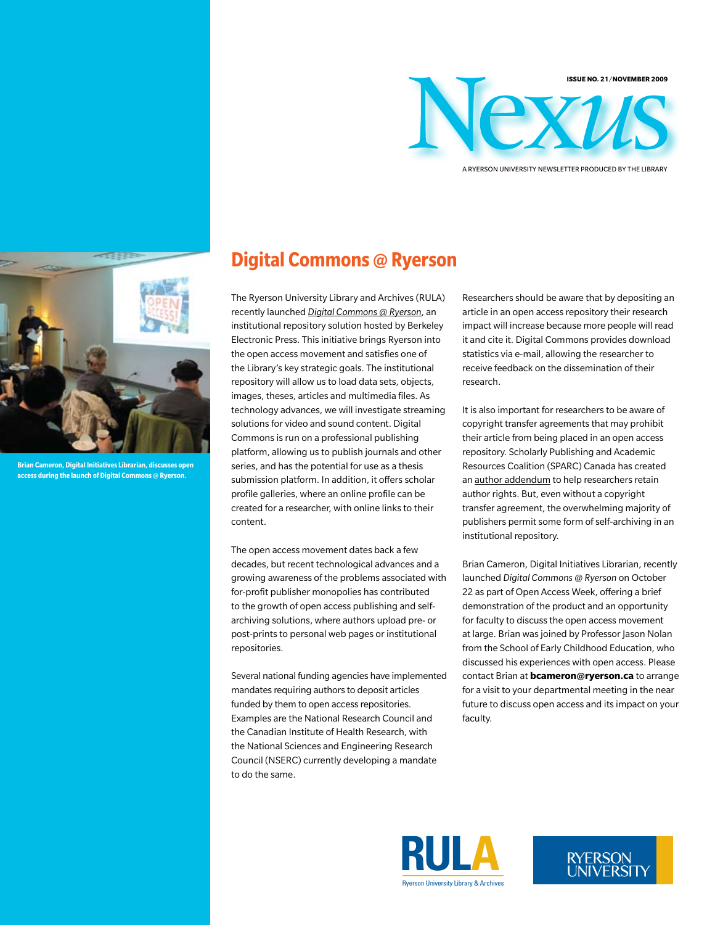

A ryerson University Newsletter Produced by the Library



**Brian Cameron, Digital Initiatives Librarian, discusses open access during the launch of Digital Commons @ Ryerson.**

# **Digital Commons @ Ryerson**

The Ryerson University Library and Archives (RULA) recently launched *[Digital Commons @ Ryerson](http://digitalcommons.ryerson.ca/)*, an institutional repository solution hosted by Berkeley Electronic Press. This initiative brings Ryerson into the open access movement and satisfies one of the Library's key strategic goals. The institutional repository will allow us to load data sets, objects, images, theses, articles and multimedia files. As technology advances, we will investigate streaming solutions for video and sound content. Digital Commons is run on a professional publishing platform, allowing us to publish journals and other series, and has the potential for use as a thesis submission platform. In addition, it offers scholar profile galleries, where an online profile can be created for a researcher, with online links to their content.

The open access movement dates back a few decades, but recent technological advances and a growing awareness of the problems associated with for-profit publisher monopolies has contributed to the growth of open access publishing and selfarchiving solutions, where authors upload pre- or post-prints to personal web pages or institutional repositories.

Several national funding agencies have implemented mandates requiring authors to deposit articles funded by them to open access repositories. Examples are the National Research Council and the Canadian Institute of Health Research, with the National Sciences and Engineering Research Council (NSERC) currently developing a mandate to do the same.

Researchers should be aware that by depositing an article in an open access repository their research impact will increase because more people will read it and cite it. Digital Commons provides download statistics via e-mail, allowing the researcher to receive feedback on the dissemination of their research.

It is also important for researchers to be aware of copyright transfer agreements that may prohibit their article from being placed in an open access repository. Scholarly Publishing and Academic Resources Coalition (SPARC) Canada has created an [author addendum](http://www.carl-abrc.ca/projects/author/author-e.html#addendum) to help researchers retain author rights. But, even without a copyright transfer agreement, the overwhelming majority of publishers permit some form of self-archiving in an institutional repository.

Brian Cameron, Digital Initiatives Librarian, recently launched *Digital Commons @ Ryerson* on October 22 as part of Open Access Week, offering a brief demonstration of the product and an opportunity for faculty to discuss the open access movement at large. Brian was joined by Professor Jason Nolan from the School of Early Childhood Education, who discussed his experiences with open access. Please contact Brian at **bcameron@ryerson.ca** to arrange for a visit to your departmental meeting in the near future to discuss open access and its impact on your faculty.



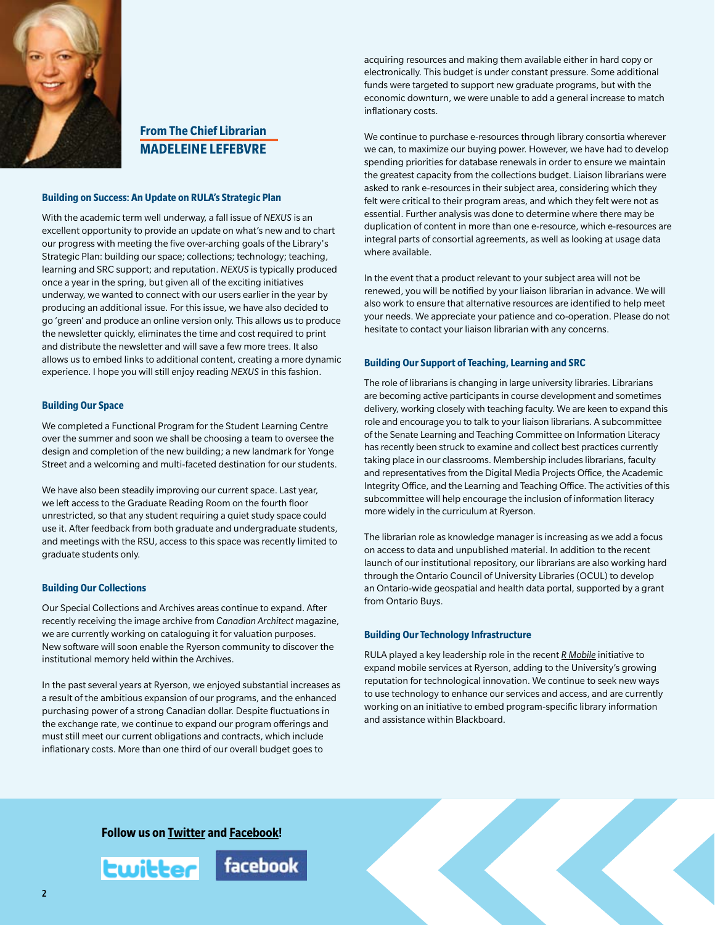

# **From The Chief Librarian Madeleine Lefebvre**

# **Building on Success: An Update on RULA's Strategic Plan**

With the academic term well underway, a fall issue of *NEXUS* is an excellent opportunity to provide an update on what's new and to chart our progress with meeting the five over-arching goals of the Library's Strategic Plan: building our space; collections; technology; teaching, learning and SRC support; and reputation. *NEXUS* is typically produced once a year in the spring, but given all of the exciting initiatives underway, we wanted to connect with our users earlier in the year by producing an additional issue. For this issue, we have also decided to go 'green' and produce an online version only. This allows us to produce the newsletter quickly, eliminates the time and cost required to print and distribute the newsletter and will save a few more trees. It also allows us to embed links to additional content, creating a more dynamic experience. I hope you will still enjoy reading *NEXUS* in this fashion.

# **Building Our Space**

We completed a Functional Program for the Student Learning Centre over the summer and soon we shall be choosing a team to oversee the design and completion of the new building; a new landmark for Yonge Street and a welcoming and multi-faceted destination for our students.

We have also been steadily improving our current space. Last year, we left access to the Graduate Reading Room on the fourth floor unrestricted, so that any student requiring a quiet study space could use it. After feedback from both graduate and undergraduate students, and meetings with the RSU, access to this space was recently limited to graduate students only.

# **Building Our Collections**

Our Special Collections and Archives areas continue to expand. After recently receiving the image archive from *Canadian Architect* magazine, we are currently working on cataloguing it for valuation purposes. New software will soon enable the Ryerson community to discover the institutional memory held within the Archives.

In the past several years at Ryerson, we enjoyed substantial increases as a result of the ambitious expansion of our programs, and the enhanced purchasing power of a strong Canadian dollar. Despite fluctuations in the exchange rate, we continue to expand our program offerings and must still meet our current obligations and contracts, which include inflationary costs. More than one third of our overall budget goes to

acquiring resources and making them available either in hard copy or electronically. This budget is under constant pressure. Some additional funds were targeted to support new graduate programs, but with the economic downturn, we were unable to add a general increase to match inflationary costs.

We continue to purchase e-resources through library consortia wherever we can, to maximize our buying power. However, we have had to develop spending priorities for database renewals in order to ensure we maintain the greatest capacity from the collections budget. Liaison librarians were asked to rank e-resources in their subject area, considering which they felt were critical to their program areas, and which they felt were not as essential. Further analysis was done to determine where there may be duplication of content in more than one e-resource, which e-resources are integral parts of consortial agreements, as well as looking at usage data where available.

In the event that a product relevant to your subject area will not be renewed, you will be notified by your liaison librarian in advance. We will also work to ensure that alternative resources are identified to help meet your needs. We appreciate your patience and co-operation. Please do not hesitate to contact your liaison librarian with any concerns.

### **Building Our Support of Teaching, Learning and SRC**

The role of librarians is changing in large university libraries. Librarians are becoming active participants in course development and sometimes delivery, working closely with teaching faculty. We are keen to expand this role and encourage you to talk to your liaison librarians. A subcommittee of the Senate Learning and Teaching Committee on Information Literacy has recently been struck to examine and collect best practices currently taking place in our classrooms. Membership includes librarians, faculty and representatives from the Digital Media Projects Office, the Academic Integrity Office, and the Learning and Teaching Office. The activities of this subcommittee will help encourage the inclusion of information literacy more widely in the curriculum at Ryerson.

The librarian role as knowledge manager is increasing as we add a focus on access to data and unpublished material. In addition to the recent launch of our institutional repository, our librarians are also working hard through the Ontario Council of University Libraries (OCUL) to develop an Ontario-wide geospatial and health data portal, supported by a grant from Ontario Buys.

# **Building Our Technology Infrastructure**

RULA played a key leadership role in the recent *[R Mobile](https://m.ryerson.ca/login/login.cfm?u=https://m.ryerson.ca/index.cfm?)* initiative to expand mobile services at Ryerson, adding to the University's growing reputation for technological innovation. We continue to seek new ways to use technology to enhance our services and access, and are currently working on an initiative to embed program-specific library information and assistance within Blackboard.

**Follow us on [Twitter](http://twitter.com/ryersonlibrary) and [Facebook!](http://www.facebook.com/pages/Toronto-ON/Ryerson-University-Library/5863804371?ref=mf)**

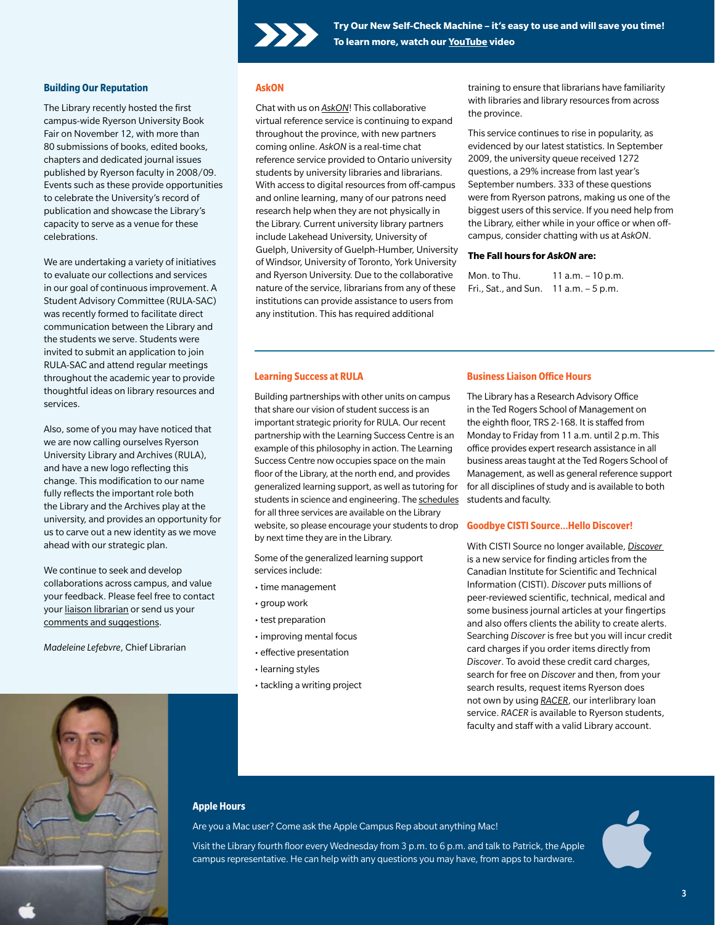

## **Building Our Reputation**

The Library recently hosted the first campus-wide Ryerson University Book Fair on November 12, with more than 80 submissions of books, edited books, chapters and dedicated journal issues published by Ryerson faculty in 2008/09. Events such as these provide opportunities to celebrate the University's record of publication and showcase the Library's capacity to serve as a venue for these celebrations.

We are undertaking a variety of initiatives to evaluate our collections and services in our goal of continuous improvement. A Student Advisory Committee (RULA-SAC) was recently formed to facilitate direct communication between the Library and the students we serve. Students were invited to submit an application to join RULA-SAC and attend regular meetings throughout the academic year to provide thoughtful ideas on library resources and services.

Also, some of you may have noticed that we are now calling ourselves Ryerson University Library and Archives (RULA), and have a new logo reflecting this change. This modification to our name fully reflects the important role both the Library and the Archives play at the university, and provides an opportunity for us to carve out a new identity as we move ahead with our strategic plan.

We continue to seek and develop collaborations across campus, and value your feedback. Please feel free to contact your [liaison librarian](http://www.library.ryerson.ca/info/sublib.html) or send us your [comments and suggestions](http://www.ryerson.ca/library/eresources/suggestion.html).

*Madeleine Lefebvre*, Chief Librarian

# **AskON**

Chat with us on *[AskON](http://www.ryerson.ca/library/ask.html)*! This collaborative virtual reference service is continuing to expand throughout the province, with new partners coming online. *AskON* is a real-time chat reference service provided to Ontario university students by university libraries and librarians. With access to digital resources from off-campus and online learning, many of our patrons need research help when they are not physically in the Library. Current university library partners include Lakehead University, University of Guelph, University of Guelph-Humber, University of Windsor, University of Toronto, York University and Ryerson University. Due to the collaborative nature of the service, librarians from any of these institutions can provide assistance to users from any institution. This has required additional

training to ensure that librarians have familiarity with libraries and library resources from across the province.

This service continues to rise in popularity, as evidenced by our latest statistics. In September 2009, the university queue received 1272 questions, a 29% increase from last year's September numbers. 333 of these questions were from Ryerson patrons, making us one of the biggest users of this service. If you need help from the Library, either while in your office or when offcampus, consider chatting with us at *AskON*.

## **The Fall hours for** *AskON* **are:**

| Mon. to Thu.         | 11 a.m. $-10$ p.m. |
|----------------------|--------------------|
| Fri., Sat., and Sun. | 11 a.m. $-5$ p.m.  |

#### **Learning Success at RULA**

Building partnerships with other units on campus that share our vision of student success is an important strategic priority for RULA. Our recent partnership with the Learning Success Centre is an example of this philosophy in action. The Learning Success Centre now occupies space on the main floor of the Library, at the north end, and provides generalized learning support, as well as tutoring for students in science and engineering. The [schedules](http://www.ryerson.ca/library/blog/2009/10/need-study-help.html) for all three services are available on the Library website, so please encourage your students to drop by next time they are in the Library.

Some of the generalized learning support services include:

- time management
- group work
- test preparation
- improving mental focus
- effective presentation
- learning styles
- tackling a writing project

# **Business Liaison Office Hours**

The Library has a Research Advisory Office in the Ted Rogers School of Management on the eighth floor, TRS 2-168. It is staffed from Monday to Friday from 11 a.m. until 2 p.m. This office provides expert research assistance in all business areas taught at the Ted Rogers School of Management, as well as general reference support for all disciplines of study and is available to both students and faculty.

# **Goodbye CISTI Source…Hello Discover!**

With CISTI Source no longer available, *[Discover](http://discover-decouvrir.cisti-icist.nrc-cnrc.gc.ca/dcvr/ctrl?action=sere&lang=en)* is a new service for finding articles from the Canadian Institute for Scientific and Technical Information (CISTI). *Discover* puts millions of peer-reviewed scientific, technical, medical and some business journal articles at your fingertips and also offers clients the ability to create alerts. Searching *Discover* is free but you will incur credit card charges if you order items directly from *Discover*. To avoid these credit card charges, search for free on *Discover* and then, from your search results, request items Ryerson does not own by using *[RACER](http://www.ryerson.ca/library/info/illdd/ill_racer.html)*, our interlibrary loan service. *RACER* is available to Ryerson students, faculty and staff with a valid Library account.



# **Apple Hours**

Are you a Mac user? Come ask the Apple Campus Rep about anything Mac!

Visit the Library fourth floor every Wednesday from 3 p.m. to 6 p.m. and talk to Patrick, the Apple Are you a Mac user? Come ask the Apple Campus Rep about anything Mac!<br>Visit the Library fourth floor every Wednesday from 3 p.m. to 6 p.m. and talk to Patrick, the Apple<br>campus representative. He can help with any question